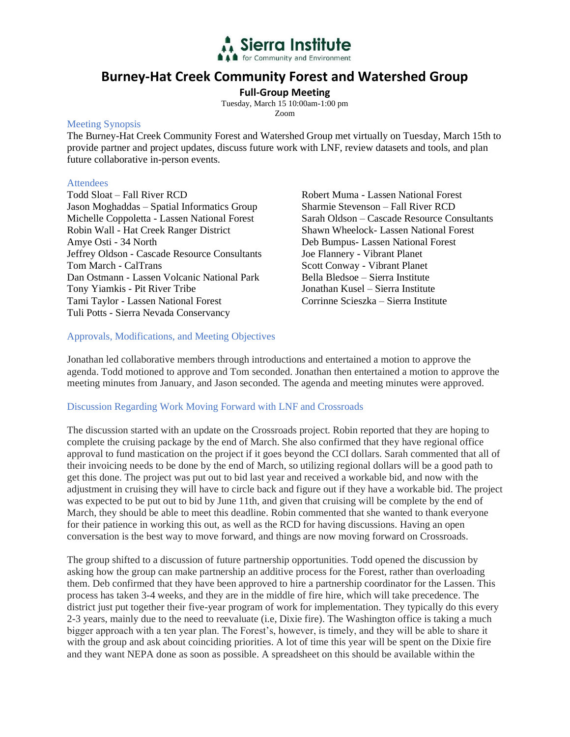

# **Burney-Hat Creek Community Forest and Watershed Group**

**Full-Group Meeting** 

Tuesday, March 15 10:00am-1:00 pm Zoom

#### Meeting Synopsis

The Burney-Hat Creek Community Forest and Watershed Group met virtually on Tuesday, March 15th to provide partner and project updates, discuss future work with LNF, review datasets and tools, and plan future collaborative in-person events.

#### **Attendees**

Todd Sloat – Fall River RCD Jason Moghaddas – Spatial Informatics Group Michelle Coppoletta - Lassen National Forest Robin Wall - Hat Creek Ranger District Amye Osti - 34 North Jeffrey Oldson - Cascade Resource Consultants Tom March - CalTrans Dan Ostmann - Lassen Volcanic National Park Tony Yiamkis - Pit River Tribe Tami Taylor - Lassen National Forest Tuli Potts - Sierra Nevada Conservancy

Robert Muma - Lassen National Forest Sharmie Stevenson – Fall River RCD Sarah Oldson – Cascade Resource Consultants Shawn Wheelock- Lassen National Forest Deb Bumpus- Lassen National Forest Joe Flannery - Vibrant Planet Scott Conway - Vibrant Planet Bella Bledsoe – Sierra Institute Jonathan Kusel – Sierra Institute Corrinne Scieszka – Sierra Institute

#### Approvals, Modifications, and Meeting Objectives

Jonathan led collaborative members through introductions and entertained a motion to approve the agenda. Todd motioned to approve and Tom seconded. Jonathan then entertained a motion to approve the meeting minutes from January, and Jason seconded. The agenda and meeting minutes were approved.

#### Discussion Regarding Work Moving Forward with LNF and Crossroads

The discussion started with an update on the Crossroads project. Robin reported that they are hoping to complete the cruising package by the end of March. She also confirmed that they have regional office approval to fund mastication on the project if it goes beyond the CCI dollars. Sarah commented that all of their invoicing needs to be done by the end of March, so utilizing regional dollars will be a good path to get this done. The project was put out to bid last year and received a workable bid, and now with the adjustment in cruising they will have to circle back and figure out if they have a workable bid. The project was expected to be put out to bid by June 11th, and given that cruising will be complete by the end of March, they should be able to meet this deadline. Robin commented that she wanted to thank everyone for their patience in working this out, as well as the RCD for having discussions. Having an open conversation is the best way to move forward, and things are now moving forward on Crossroads.

The group shifted to a discussion of future partnership opportunities. Todd opened the discussion by asking how the group can make partnership an additive process for the Forest, rather than overloading them. Deb confirmed that they have been approved to hire a partnership coordinator for the Lassen. This process has taken 3-4 weeks, and they are in the middle of fire hire, which will take precedence. The district just put together their five-year program of work for implementation. They typically do this every 2-3 years, mainly due to the need to reevaluate (i.e, Dixie fire). The Washington office is taking a much bigger approach with a ten year plan. The Forest's, however, is timely, and they will be able to share it with the group and ask about coinciding priorities. A lot of time this year will be spent on the Dixie fire and they want NEPA done as soon as possible. A spreadsheet on this should be available within the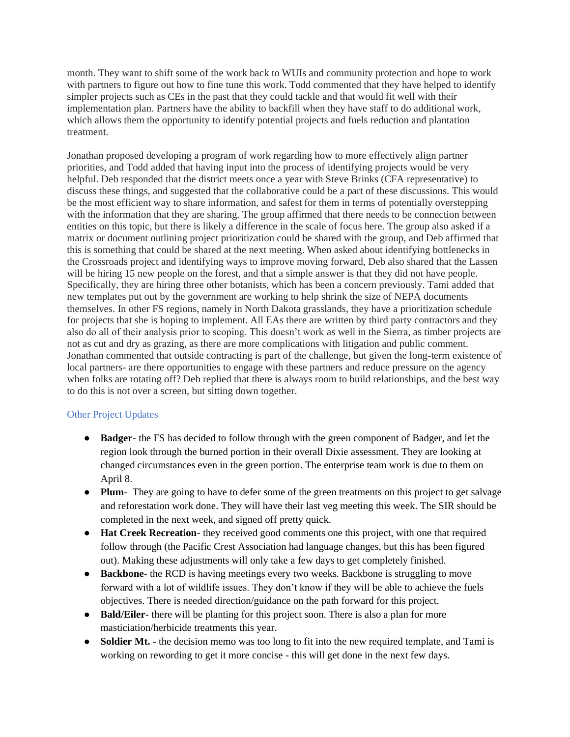month. They want to shift some of the work back to WUIs and community protection and hope to work with partners to figure out how to fine tune this work. Todd commented that they have helped to identify simpler projects such as CEs in the past that they could tackle and that would fit well with their implementation plan. Partners have the ability to backfill when they have staff to do additional work, which allows them the opportunity to identify potential projects and fuels reduction and plantation treatment.

Jonathan proposed developing a program of work regarding how to more effectively align partner priorities, and Todd added that having input into the process of identifying projects would be very helpful. Deb responded that the district meets once a year with Steve Brinks (CFA representative) to discuss these things, and suggested that the collaborative could be a part of these discussions. This would be the most efficient way to share information, and safest for them in terms of potentially overstepping with the information that they are sharing. The group affirmed that there needs to be connection between entities on this topic, but there is likely a difference in the scale of focus here. The group also asked if a matrix or document outlining project prioritization could be shared with the group, and Deb affirmed that this is something that could be shared at the next meeting. When asked about identifying bottlenecks in the Crossroads project and identifying ways to improve moving forward, Deb also shared that the Lassen will be hiring 15 new people on the forest, and that a simple answer is that they did not have people. Specifically, they are hiring three other botanists, which has been a concern previously. Tami added that new templates put out by the government are working to help shrink the size of NEPA documents themselves. In other FS regions, namely in North Dakota grasslands, they have a prioritization schedule for projects that she is hoping to implement. All EAs there are written by third party contractors and they also do all of their analysis prior to scoping. This doesn't work as well in the Sierra, as timber projects are not as cut and dry as grazing, as there are more complications with litigation and public comment. Jonathan commented that outside contracting is part of the challenge, but given the long-term existence of local partners- are there opportunities to engage with these partners and reduce pressure on the agency when folks are rotating off? Deb replied that there is always room to build relationships, and the best way to do this is not over a screen, but sitting down together.

## Other Project Updates

- **Badger** the FS has decided to follow through with the green component of Badger, and let the region look through the burned portion in their overall Dixie assessment. They are looking at changed circumstances even in the green portion. The enterprise team work is due to them on April 8.
- **Plum** They are going to have to defer some of the green treatments on this project to get salvage and reforestation work done. They will have their last veg meeting this week. The SIR should be completed in the next week, and signed off pretty quick.
- **Hat Creek Recreation** they received good comments one this project, with one that required follow through (the Pacific Crest Association had language changes, but this has been figured out). Making these adjustments will only take a few days to get completely finished.
- **Backbone** the RCD is having meetings every two weeks. Backbone is struggling to move forward with a lot of wildlife issues. They don't know if they will be able to achieve the fuels objectives. There is needed direction/guidance on the path forward for this project.
- **Bald/Eiler** there will be planting for this project soon. There is also a plan for more masticiation/herbicide treatments this year.
- **Soldier Mt.** the decision memo was too long to fit into the new required template, and Tami is working on rewording to get it more concise - this will get done in the next few days.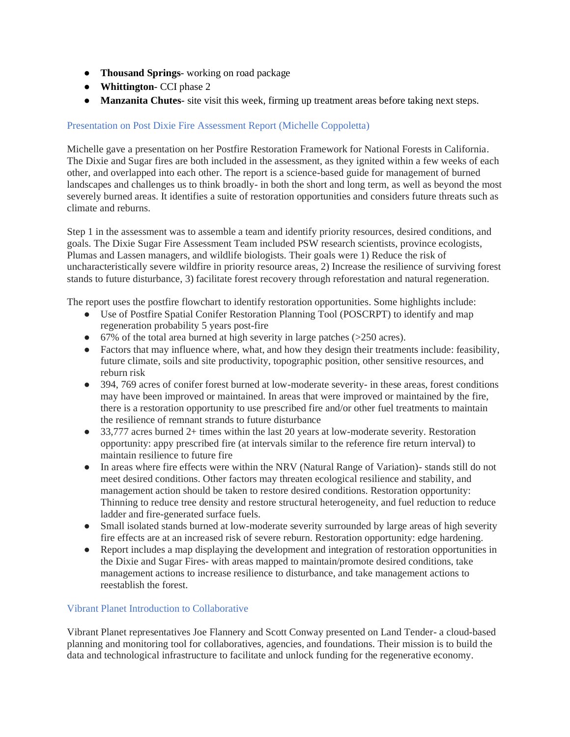- **Thousand Springs** working on road package
- **Whittington** CCI phase 2
- **Manzanita Chutes** site visit this week, firming up treatment areas before taking next steps.

## Presentation on Post Dixie Fire Assessment Report (Michelle Coppoletta)

Michelle gave a presentation on her Postfire Restoration Framework for National Forests in California. The Dixie and Sugar fires are both included in the assessment, as they ignited within a few weeks of each other, and overlapped into each other. The report is a science-based guide for management of burned landscapes and challenges us to think broadly- in both the short and long term, as well as beyond the most severely burned areas. It identifies a suite of restoration opportunities and considers future threats such as climate and reburns.

Step 1 in the assessment was to assemble a team and identify priority resources, desired conditions, and goals. The Dixie Sugar Fire Assessment Team included PSW research scientists, province ecologists, Plumas and Lassen managers, and wildlife biologists. Their goals were 1) Reduce the risk of uncharacteristically severe wildfire in priority resource areas, 2) Increase the resilience of surviving forest stands to future disturbance, 3) facilitate forest recovery through reforestation and natural regeneration.

The report uses the postfire flowchart to identify restoration opportunities. Some highlights include:

- Use of Postfire Spatial Conifer Restoration Planning Tool (POSCRPT) to identify and map regeneration probability 5 years post-fire
- 67% of the total area burned at high severity in large patches (>250 acres).
- Factors that may influence where, what, and how they design their treatments include: feasibility, future climate, soils and site productivity, topographic position, other sensitive resources, and reburn risk
- 394, 769 acres of conifer forest burned at low-moderate severity- in these areas, forest conditions may have been improved or maintained. In areas that were improved or maintained by the fire, there is a restoration opportunity to use prescribed fire and/or other fuel treatments to maintain the resilience of remnant strands to future disturbance
- 33,777 acres burned 2+ times within the last 20 years at low-moderate severity. Restoration opportunity: appy prescribed fire (at intervals similar to the reference fire return interval) to maintain resilience to future fire
- In areas where fire effects were within the NRV (Natural Range of Variation)- stands still do not meet desired conditions. Other factors may threaten ecological resilience and stability, and management action should be taken to restore desired conditions. Restoration opportunity: Thinning to reduce tree density and restore structural heterogeneity, and fuel reduction to reduce ladder and fire-generated surface fuels.
- Small isolated stands burned at low-moderate severity surrounded by large areas of high severity fire effects are at an increased risk of severe reburn. Restoration opportunity: edge hardening.
- Report includes a map displaying the development and integration of restoration opportunities in the Dixie and Sugar Fires- with areas mapped to maintain/promote desired conditions, take management actions to increase resilience to disturbance, and take management actions to reestablish the forest.

## Vibrant Planet Introduction to Collaborative

Vibrant Planet representatives Joe Flannery and Scott Conway presented on Land Tender- a cloud-based planning and monitoring tool for collaboratives, agencies, and foundations. Their mission is to build the data and technological infrastructure to facilitate and unlock funding for the regenerative economy.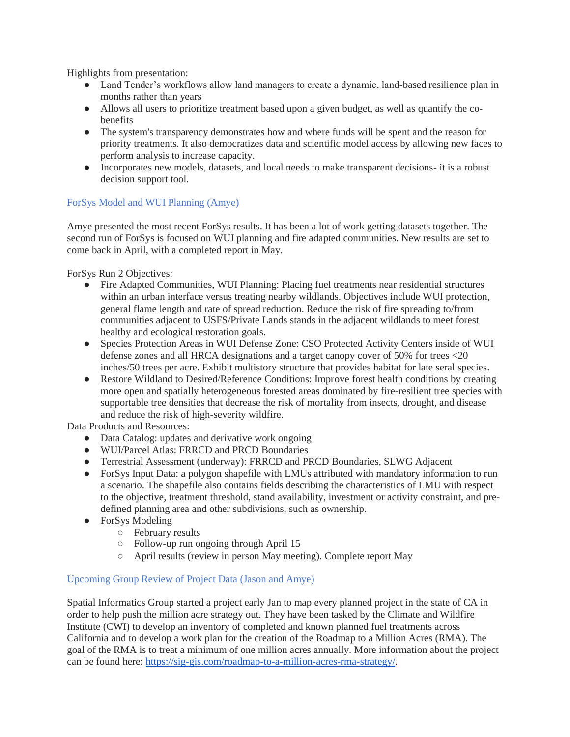Highlights from presentation:

- Land Tender's workflows allow land managers to create a dynamic, land-based resilience plan in months rather than years
- Allows all users to prioritize treatment based upon a given budget, as well as quantify the cobenefits
- The system's transparency demonstrates how and where funds will be spent and the reason for priority treatments. It also democratizes data and scientific model access by allowing new faces to perform analysis to increase capacity.
- Incorporates new models, datasets, and local needs to make transparent decisions- it is a robust decision support tool.

# ForSys Model and WUI Planning (Amye)

Amye presented the most recent ForSys results. It has been a lot of work getting datasets together. The second run of ForSys is focused on WUI planning and fire adapted communities. New results are set to come back in April, with a completed report in May.

ForSys Run 2 Objectives:

- Fire Adapted Communities, WUI Planning: Placing fuel treatments near residential structures within an urban interface versus treating nearby wildlands. Objectives include WUI protection, general flame length and rate of spread reduction. Reduce the risk of fire spreading to/from communities adjacent to USFS/Private Lands stands in the adjacent wildlands to meet forest healthy and ecological restoration goals.
- Species Protection Areas in WUI Defense Zone: CSO Protected Activity Centers inside of WUI defense zones and all HRCA designations and a target canopy cover of 50% for trees <20 inches/50 trees per acre. Exhibit multistory structure that provides habitat for late seral species.
- Restore Wildland to Desired/Reference Conditions: Improve forest health conditions by creating more open and spatially heterogeneous forested areas dominated by fire-resilient tree species with supportable tree densities that decrease the risk of mortality from insects, drought, and disease and reduce the risk of high-severity wildfire.

Data Products and Resources:

- Data Catalog: updates and derivative work ongoing
- WUI/Parcel Atlas: FRRCD and PRCD Boundaries
- Terrestrial Assessment (underway): FRRCD and PRCD Boundaries, SLWG Adjacent
- For Sys Input Data: a polygon shapefile with LMUs attributed with mandatory information to run a scenario. The shapefile also contains fields describing the characteristics of LMU with respect to the objective, treatment threshold, stand availability, investment or activity constraint, and predefined planning area and other subdivisions, such as ownership.
- ForSys Modeling
	- February results
	- Follow-up run ongoing through April 15
	- April results (review in person May meeting). Complete report May

## Upcoming Group Review of Project Data (Jason and Amye)

Spatial Informatics Group started a project early Jan to map every planned project in the state of CA in order to help push the million acre strategy out. They have been tasked by the Climate and Wildfire Institute (CWI) to develop an inventory of completed and known planned fuel treatments across California and to develop a work plan for the creation of the Roadmap to a Million Acres (RMA). The goal of the RMA is to treat a minimum of one million acres annually. More information about the project can be found here: [https://sig-gis.com/roadmap-to-a-million-acres-rma-strategy/.](https://sig-gis.com/roadmap-to-a-million-acres-rma-strategy/)